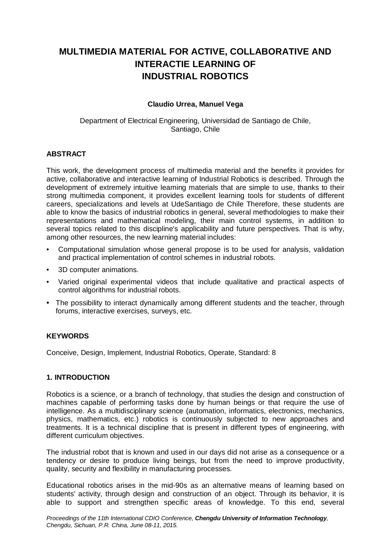# **MULTIMEDIA MATERIAL FOR ACTIVE, COLLABORATIVE AND INTERACTIE LEARNING OF INDUSTRIAL ROBOTICS**

## **Claudio Urrea, Manuel Vega**

Department of Electrical Engineering, Universidad de Santiago de Chile, Santiago, Chile

## **ABSTRACT**

This work, the development process of multimedia material and the benefits it provides for active, collaborative and interactive learning of Industrial Robotics is described. Through the development of extremely intuitive learning materials that are simple to use, thanks to their strong multimedia component, it provides excellent learning tools for students of different careers, specializations and levels at UdeSantiago de Chile Therefore, these students are able to know the basics of industrial robotics in general, several methodologies to make their representations and mathematical modeling, their main control systems, in addition to several topics related to this discipline's applicability and future perspectives. That is why, among other resources, the new learning material includes:

- Computational simulation whose general propose is to be used for analysis, validation and practical implementation of control schemes in industrial robots.
- 3D computer animations.
- Varied original experimental videos that include qualitative and practical aspects of control algorithms for industrial robots.
- The possibility to interact dynamically among different students and the teacher, through forums, interactive exercises, surveys, etc.

## **KEYWORDS**

Conceive, Design, Implement, Industrial Robotics, Operate, Standard: 8

#### **1. INTRODUCTION**

Robotics is a science, or a branch of technology, that studies the design and construction of machines capable of performing tasks done by human beings or that require the use of intelligence. As a multidisciplinary science (automation, informatics, electronics, mechanics, physics, mathematics, etc.) robotics is continuously subjected to new approaches and treatments. It is a technical discipline that is present in different types of engineering, with different curriculum objectives.

The industrial robot that is known and used in our days did not arise as a consequence or a tendency or desire to produce living beings, but from the need to improve productivity, quality, security and flexibility in manufacturing processes.

Educational robotics arises in the mid-90s as an alternative means of learning based on students' activity, through design and construction of an object. Through its behavior, it is able to support and strengthen specific areas of knowledge. To this end, several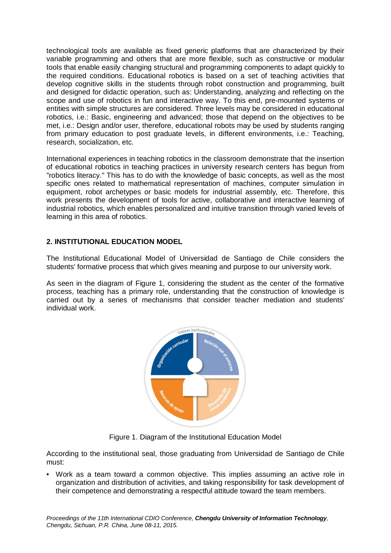technological tools are available as fixed generic platforms that are characterized by their variable programming and others that are more flexible, such as constructive or modular tools that enable easily changing structural and programming components to adapt quickly to the required conditions. Educational robotics is based on a set of teaching activities that develop cognitive skills in the students through robot construction and programming, built and designed for didactic operation, such as: Understanding, analyzing and reflecting on the scope and use of robotics in fun and interactive way. To this end, pre-mounted systems or entities with simple structures are considered. Three levels may be considered in educational robotics, i.e.: Basic, engineering and advanced; those that depend on the objectives to be met, i.e.: Design and/or user, therefore, educational robots may be used by students ranging from primary education to post graduate levels, in different environments, i.e.: Teaching, research, socialization, etc.

International experiences in teaching robotics in the classroom demonstrate that the insertion of educational robotics in teaching practices in university research centers has begun from "robotics literacy." This has to do with the knowledge of basic concepts, as well as the most specific ones related to mathematical representation of machines, computer simulation in equipment, robot archetypes or basic models for industrial assembly, etc. Therefore, this work presents the development of tools for active, collaborative and interactive learning of industrial robotics, which enables personalized and intuitive transition through varied levels of learning in this area of robotics.

# **2. INSTITUTIONAL EDUCATION MODEL**

The Institutional Educational Model of Universidad de Santiago de Chile considers the students' formative process that which gives meaning and purpose to our university work.

As seen in the diagram of Figure 1, considering the student as the center of the formative process, teaching has a primary role, understanding that the construction of knowledge is carried out by a series of mechanisms that consider teacher mediation and students' individual work.



Figure 1. Diagram of the Institutional Education Model

According to the institutional seal, those graduating from Universidad de Santiago de Chile must:

• Work as a team toward a common objective. This implies assuming an active role in organization and distribution of activities, and taking responsibility for task development of their competence and demonstrating a respectful attitude toward the team members.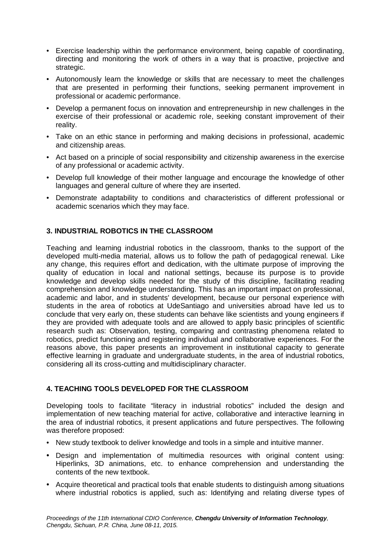- Exercise leadership within the performance environment, being capable of coordinating, directing and monitoring the work of others in a way that is proactive, projective and strategic.
- Autonomously learn the knowledge or skills that are necessary to meet the challenges that are presented in performing their functions, seeking permanent improvement in professional or academic performance.
- Develop a permanent focus on innovation and entrepreneurship in new challenges in the exercise of their professional or academic role, seeking constant improvement of their reality.
- Take on an ethic stance in performing and making decisions in professional, academic and citizenship areas.
- Act based on a principle of social responsibility and citizenship awareness in the exercise of any professional or academic activity.
- Develop full knowledge of their mother language and encourage the knowledge of other languages and general culture of where they are inserted.
- Demonstrate adaptability to conditions and characteristics of different professional or academic scenarios which they may face.

# **3. INDUSTRIAL ROBOTICS IN THE CLASSROOM**

Teaching and learning industrial robotics in the classroom, thanks to the support of the developed multi-media material, allows us to follow the path of pedagogical renewal. Like any change, this requires effort and dedication, with the ultimate purpose of improving the quality of education in local and national settings, because its purpose is to provide knowledge and develop skills needed for the study of this discipline, facilitating reading comprehension and knowledge understanding. This has an important impact on professional, academic and labor, and in students' development, because our personal experience with students in the area of robotics at UdeSantiago and universities abroad have led us to conclude that very early on, these students can behave like scientists and young engineers if they are provided with adequate tools and are allowed to apply basic principles of scientific research such as: Observation, testing, comparing and contrasting phenomena related to robotics, predict functioning and registering individual and collaborative experiences. For the reasons above, this paper presents an improvement in institutional capacity to generate effective learning in graduate and undergraduate students, in the area of industrial robotics, considering all its cross-cutting and multidisciplinary character.

# **4. TEACHING TOOLS DEVELOPED FOR THE CLASSROOM**

Developing tools to facilitate "literacy in industrial robotics" included the design and implementation of new teaching material for active, collaborative and interactive learning in the area of industrial robotics, it present applications and future perspectives. The following was therefore proposed:

- New study textbook to deliver knowledge and tools in a simple and intuitive manner.
- Design and implementation of multimedia resources with original content using: Hiperlinks, 3D animations, etc. to enhance comprehension and understanding the contents of the new textbook.
- Acquire theoretical and practical tools that enable students to distinguish among situations where industrial robotics is applied, such as: Identifying and relating diverse types of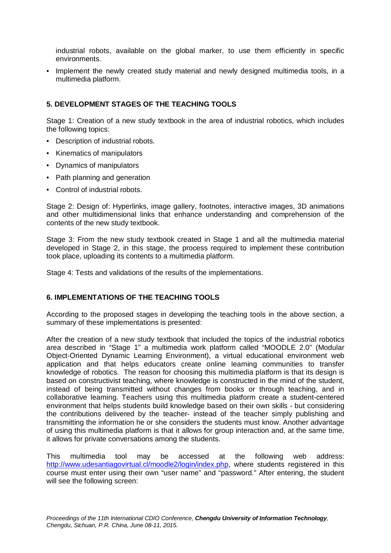industrial robots, available on the global marker, to use them efficiently in specific environments.

• Implement the newly created study material and newly designed multimedia tools, in a multimedia platform.

# **5. DEVELOPMENT STAGES OF THE TEACHING TOOLS**

Stage 1: Creation of a new study textbook in the area of industrial robotics, which includes the following topics:

- Description of industrial robots.
- Kinematics of manipulators
- Dynamics of manipulators
- Path planning and generation
- Control of industrial robots.

Stage 2: Design of: Hyperlinks, image gallery, footnotes, interactive images, 3D animations and other multidimensional links that enhance understanding and comprehension of the contents of the new study textbook.

Stage 3: From the new study textbook created in Stage 1 and all the multimedia material developed in Stage 2, in this stage, the process required to implement these contribution took place, uploading its contents to a multimedia platform.

Stage 4: Tests and validations of the results of the implementations.

## **6. IMPLEMENTATIONS OF THE TEACHING TOOLS**

According to the proposed stages in developing the teaching tools in the above section, a summary of these implementations is presented:

After the creation of a new study textbook that included the topics of the industrial robotics area described in "Stage 1" a multimedia work platform called "MOODLE 2.0" (Modular Object-Oriented Dynamic Learning Environment), a virtual educational environment web application and that helps educators create online learning communities to transfer knowledge of robotics. The reason for choosing this multimedia platform is that its design is based on constructivist teaching, where knowledge is constructed in the mind of the student, instead of being transmitted without changes from books or through teaching, and in collaborative learning. Teachers using this multimedia platform create a student-centered environment that helps students build knowledge based on their own skills - but considering the contributions delivered by the teacher- instead of the teacher simply publishing and transmitting the information he or she considers the students must know. Another advantage of using this multimedia platform is that it allows for group interaction and, at the same time, it allows for private conversations among the students.

This multimedia tool may be accessed at the following web address: http://www.udesantiagovirtual.cl/moodle2/login/index.php, where students registered in this course must enter using their own "user name" and "password." After entering, the student will see the following screen: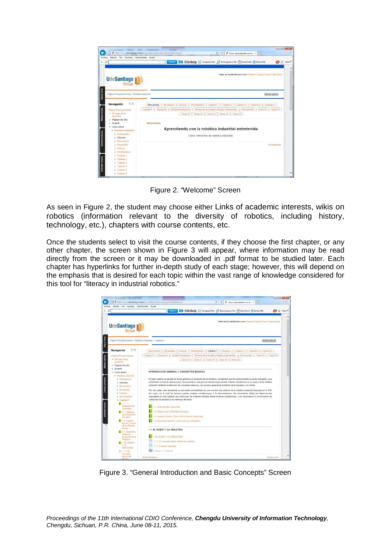

Figure 2. "Welcome" Screen

As seen in Figure 2, the student may choose either Links of academic interests, wikis on robotics (information relevant to the diversity of robotics, including history, technology, etc.), chapters with course contents, etc.

Once the students select to visit the course contents, if they choose the first chapter, or any other chapter, the screen shown in Figure 3 will appear, where information may be read directly from the screen or it may be downloaded in .pdf format to be studied later. Each chapter has hyperlinks for further in-depth study of each stage; however, this will depend on the emphasis that is desired for each topic within the vast range of knowledge considered for this tool for "literacy in industrial robotics."



Figure 3. "General Introduction and Basic Concepts" Screen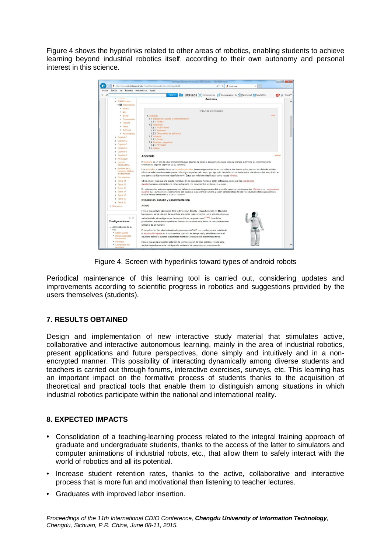Figure 4 shows the hyperlinks related to other areas of robotics, enabling students to achieve learning beyond industrial robotics itself, according to their own autonomy and personal interest in this science.



Figure 4. Screen with hyperlinks toward types of android robots

Periodical maintenance of this learning tool is carried out, considering updates and improvements according to scientific progress in robotics and suggestions provided by the users themselves (students).

# **7. RESULTS OBTAINED**

Design and implementation of new interactive study material that stimulates active, collaborative and interactive autonomous learning, mainly in the area of industrial robotics, present applications and future perspectives, done simply and intuitively and in a nonencrypted manner. This possibility of interacting dynamically among diverse students and teachers is carried out through forums, interactive exercises, surveys, etc. This learning has an important impact on the formative process of students thanks to the acquisition of theoretical and practical tools that enable them to distinguish among situations in which industrial robotics participate within the national and international reality.

## **8. EXPECTED IMPACTS**

- Consolidation of a teaching-learning process related to the integral training approach of graduate and undergraduate students, thanks to the access of the latter to simulators and computer animations of industrial robots, etc., that allow them to safely interact with the world of robotics and all its potential.
- Increase student retention rates, thanks to the active, collaborative and interactive process that is more fun and motivational than listening to teacher lectures.
- Graduates with improved labor insertion.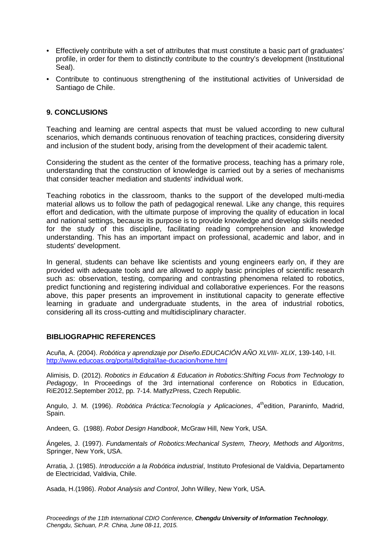- Effectively contribute with a set of attributes that must constitute a basic part of graduates' profile, in order for them to distinctly contribute to the country's development (Institutional Seal).
- Contribute to continuous strengthening of the institutional activities of Universidad de Santiago de Chile.

#### **9. CONCLUSIONS**

Teaching and learning are central aspects that must be valued according to new cultural scenarios, which demands continuous renovation of teaching practices, considering diversity and inclusion of the student body, arising from the development of their academic talent.

Considering the student as the center of the formative process, teaching has a primary role, understanding that the construction of knowledge is carried out by a series of mechanisms that consider teacher mediation and students' individual work.

Teaching robotics in the classroom, thanks to the support of the developed multi-media material allows us to follow the path of pedagogical renewal. Like any change, this requires effort and dedication, with the ultimate purpose of improving the quality of education in local and national settings, because its purpose is to provide knowledge and develop skills needed for the study of this discipline, facilitating reading comprehension and knowledge understanding. This has an important impact on professional, academic and labor, and in students' development.

In general, students can behave like scientists and young engineers early on, if they are provided with adequate tools and are allowed to apply basic principles of scientific research such as: observation, testing, comparing and contrasting phenomena related to robotics, predict functioning and registering individual and collaborative experiences. For the reasons above, this paper presents an improvement in institutional capacity to generate effective learning in graduate and undergraduate students, in the area of industrial robotics, considering all its cross-cutting and multidisciplinary character.

#### **BIBLIOGRAPHIC REFERENCES**

Acuña, A. (2004). *Robótica y aprendizaje por Diseño.EDUCACIÓN AÑO XLVIII- XLIX*, 139-140, I-II. http://www.educoas.org/portal/bdigital/lae-ducacion/home.html

Alimisis, D. (2012). *Robotics in Education & Education in Robotics:Shifting Focus from Technology to Pedagogy*, In Proceedings of the 3rd international conference on Robotics in Education, RiE2012.September 2012, pp. 7-14. MatfyzPress, Czech Republic.

Angulo, J. M. (1996). *Robótica Práctica: Tecnología y Aplicaciones*, 4<sup>th</sup>edition, Paraninfo, Madrid, Spain.

Andeen, G. (1988). *Robot Design Handbook*, McGraw Hill, New York, USA.

Ángeles, J. (1997). *Fundamentals of Robotics:Mechanical System, Theory, Methods and Algoritms*, Springer, New York, USA.

Arratia, J. (1985). *Introducción a la Robótica industrial*, Instituto Profesional de Valdivia, Departamento de Electricidad, Valdivia, Chile.

Asada, H.(1986). *Robot Analysis and Control*, John Willey, New York, USA.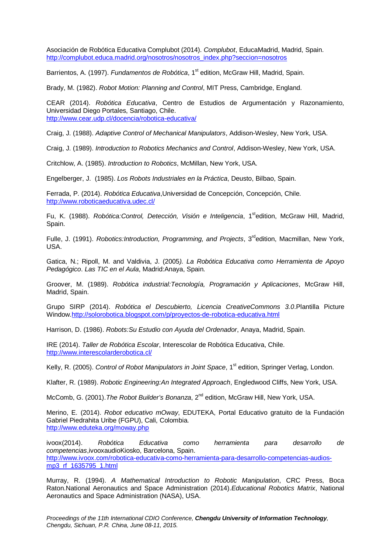Asociación de Robótica Educativa Complubot (2014). *Complubot*, EducaMadrid, Madrid, Spain. http://complubot.educa.madrid.org/nosotros/nosotros\_index.php?seccion=nosotros

Barrientos, A. (1997). *Fundamentos de Robótica*, 1<sup>st</sup> edition, McGraw Hill, Madrid, Spain.

Brady, M. (1982). *Robot Motion: Planning and Control*, MIT Press, Cambridge, England.

CEAR (2014). *Robótica Educativa*, Centro de Estudios de Argumentación y Razonamiento, Universidad Diego Portales, Santiago, Chile. http://www.cear.udp.cl/docencia/robotica-educativa/

Craig, J. (1988). *Adaptive Control of Mechanical Manipulators*, Addison-Wesley, New York, USA.

Craig, J. (1989). *Introduction to Robotics Mechanics and Control*, Addison-Wesley, New York, USA.

Critchlow, A. (1985). *Introduction to Robotics*, McMillan, New York, USA.

Engelberger, J. (1985). *Los Robots Industriales en la Práctica*, Deusto, Bilbao, Spain.

Ferrada, P. (2014). *Robótica Educativa*,Universidad de Concepción, Concepción, Chile. http://www.roboticaeducativa.udec.cl/

Fu, K. (1988). *Robótica:Control, Detección, Visión e Inteligencia*, 1<sup>st</sup>edition, McGraw Hill, Madrid, Spain.

Fulle, J. (1991). *Robotics:Introduction, Programming, and Projects*, 3<sup>rd</sup>edition, Macmillan, New York, USA.

Gatica, N.; Ripoll, M. and Valdivia, J. (2005*). La Robótica Educativa como Herramienta de Apoyo Pedagógico*. *Las TIC en el Aula*, Madrid:Anaya, Spain.

Groover, M. (1989). *Robótica industrial:Tecnología, Programación y Aplicaciones*, McGraw Hill, Madrid, Spain.

Grupo SIRP (2014). *Robótica el Descubierto, Licencia CreativeCommons 3.0*.Plantilla Picture Window.http://solorobotica.blogspot.com/p/proyectos-de-robotica-educativa.html

Harrison, D. (1986). *Robots:Su Estudio con Ayuda del Ordenador*, Anaya, Madrid, Spain.

IRE (2014). *Taller de Robótica Escolar*, Interescolar de Robótica Educativa, Chile. http://www.interescolarderobotica.cl/

Kelly, R. (2005). *Control of Robot Manipulators in Joint Space*, 1<sup>st</sup> edition, Springer Verlag, London.

Klafter, R. (1989). *Robotic Engineering:An Integrated Approach*, Engledwood Cliffs, New York, USA.

McComb, G. (2001). The Robot Builder's Bonanza, 2<sup>nd</sup> edition, McGraw Hill, New York, USA.

Merino, E. (2014). *Robot educativo mOway*, EDUTEKA, Portal Educativo gratuito de la Fundación Gabriel Piedrahita Uribe (FGPU), Cali, Colombia. http://www.eduteka.org/moway.php

ivoox(2014). *Robótica Educativa como herramienta para desarrollo de competencias*,ivooxaudioKiosko, Barcelona, Spain. http://www.ivoox.com/robotica-educativa-como-herramienta-para-desarrollo-competencias-audiosmp3\_rf\_1635795\_1.html

Murray, R. (1994). *A Mathematical Introduction to Robotic Manipulation*, CRC Press, Boca Raton.National Aeronautics and Space Administration (2014).*Educational Robotics Matrix*, National Aeronautics and Space Administration (NASA), USA.

*Proceedings of the 11th International CDIO Conference, Chengdu University of Information Technology, Chengdu, Sichuan, P.R. China, June 08-11, 2015.*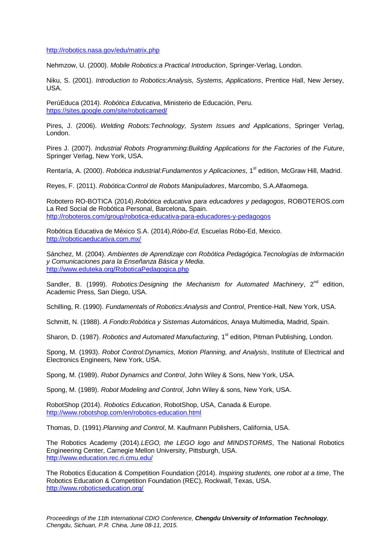http://robotics.nasa.gov/edu/matrix.php

Nehmzow, U. (2000). *Mobile Robotics:a Practical Introduction*, Springer-Verlag, London.

Niku, S. (2001). *Introduction to Robotics:Analysis, Systems, Applications*, Prentice Hall, New Jersey, USA.

PerúEduca (2014). *Robótica Educativa*, Ministerio de Educación, Peru. https://sites.google.com/site/roboticamed/

Pires, J. (2006). *Welding Robots:Technology, System Issues and Applications*, Springer Verlag, London.

Pires J. (2007). *Industrial Robots Programming:Building Applications for the Factories of the Future*, Springer Verlag, New York, USA.

Rentaría, A. (2000). *Robótica industrial: Fundamentos y Aplicaciones*, 1<sup>st</sup> edition, McGraw Hill, Madrid.

Reyes, F. (2011). *Robótica:Control de Robots Manipuladores*, Marcombo, S.A.Alfaomega.

Robotero RO-BOTICA (2014).*Robótica educativa para educadores y pedagogos*, ROBOTEROS.com La Red Social de Robótica Personal, Barcelona, Spain. http://roboteros.com/group/robotica-educativa-para-educadores-y-pedagogos

Robótica Educativa de México S.A. (2014).*Róbo-Ed*, Escuelas Róbo-Ed, Mexico. http://roboticaeducativa.com.mx/

Sánchez, M. (2004). *Ambientes de Aprendizaje con Robótica Pedagógica.Tecnologías de Información y Comunicaciones para la Enseñanza Básica y Media*. http://www.eduteka.org/RoboticaPedagogica.php

Sandler, B. (1999). *Robotics:Designing the Mechanism for Automated Machinery*, 2<sup>nd</sup> edition, Academic Press, San Diego, USA.

Schilling, R. (1990). *Fundamentals of Robotics:Analysis and Control*, Prentice-Hall, New York, USA.

Schmitt, N. (1988). *A Fondo:Robótica y Sistemas Automáticos,* Anaya Multimedia, Madrid, Spain.

Sharon, D. (1987). *Robotics and Automated Manufacturing*, 1<sup>st</sup> edition, Pitman Publishing, London.

Spong, M. (1993). *Robot Control:Dynamics, Motion Planning, and Analysis*, Institute of Electrical and Electronics Engineers, New York, USA.

Spong, M. (1989). *Robot Dynamics and Control*, John Wiley & Sons, New York, USA.

Spong, M. (1989). *Robot Modeling and Control*, John Wiley & sons, New York, USA.

RobotShop (2014). *Robotics Education*, RobotShop, USA, Canada & Europe. http://www.robotshop.com/en/robotics-education.html

Thomas, D. (1991).*Planning and Control*, M. Kaufmann Publishers, California, USA.

The Robotics Academy (2014).*LEGO, the LEGO logo and MINDSTORMS*, The National Robotics Engineering Center, Carnegie Mellon University, Pittsburgh, USA. http://www.education.rec.ri.cmu.edu/

The Robotics Education & Competition Foundation (2014). *Inspiring students, one robot at a time*, The Robotics Education & Competition Foundation (REC), Rockwall, Texas, USA. http://www.roboticseducation.org/